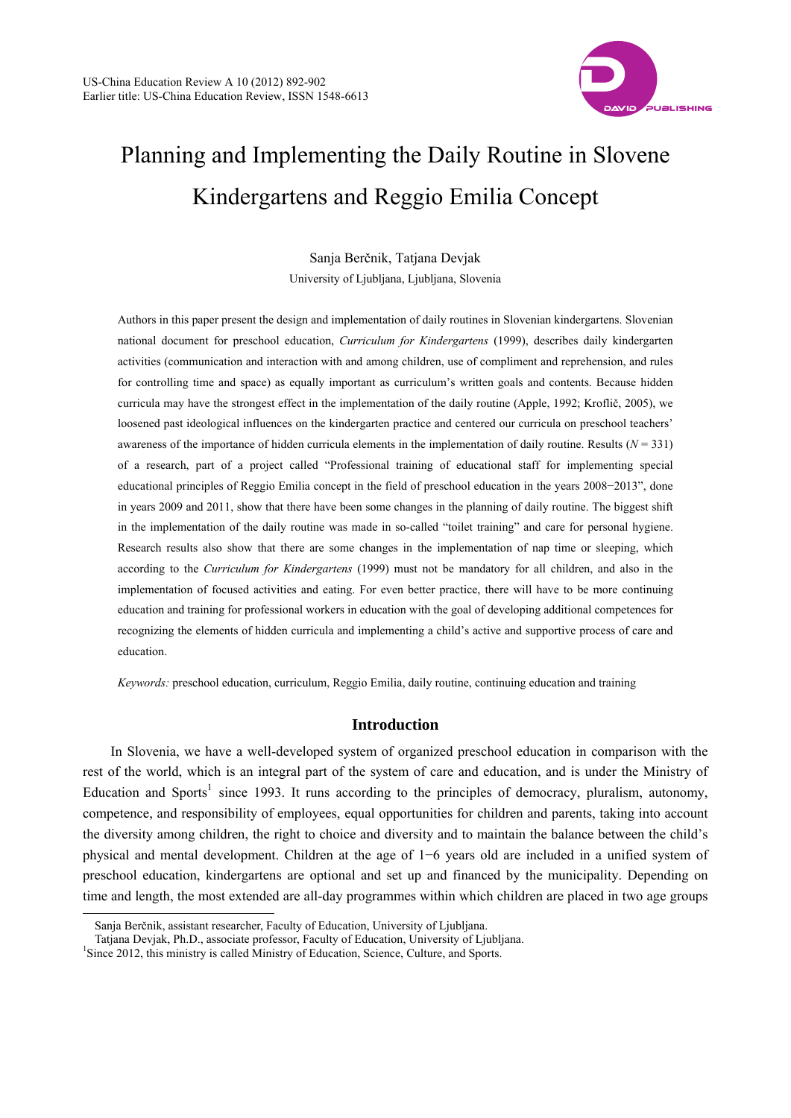

# Planning and Implementing the Daily Routine in Slovene Kindergartens and Reggio Emilia Concept

Sanja Berčnik, Tatjana Devjak University of Ljubljana, Ljubljana, Slovenia

Authors in this paper present the design and implementation of daily routines in Slovenian kindergartens. Slovenian national document for preschool education, *Curriculum for Kindergartens* (1999), describes daily kindergarten activities (communication and interaction with and among children, use of compliment and reprehension, and rules for controlling time and space) as equally important as curriculum's written goals and contents. Because hidden curricula may have the strongest effect in the implementation of the daily routine (Apple, 1992; Kroflič, 2005), we loosened past ideological influences on the kindergarten practice and centered our curricula on preschool teachers' awareness of the importance of hidden curricula elements in the implementation of daily routine. Results  $(N = 331)$ of a research, part of a project called "Professional training of educational staff for implementing special educational principles of Reggio Emilia concept in the field of preschool education in the years 2008−2013", done in years 2009 and 2011, show that there have been some changes in the planning of daily routine. The biggest shift in the implementation of the daily routine was made in so-called "toilet training" and care for personal hygiene. Research results also show that there are some changes in the implementation of nap time or sleeping, which according to the *Curriculum for Kindergartens* (1999) must not be mandatory for all children, and also in the implementation of focused activities and eating. For even better practice, there will have to be more continuing education and training for professional workers in education with the goal of developing additional competences for recognizing the elements of hidden curricula and implementing a child's active and supportive process of care and education.

*Keywords:* preschool education, curriculum, Reggio Emilia, daily routine, continuing education and training

# **Introduction**

In Slovenia, we have a well-developed system of organized preschool education in comparison with the rest of the world, which is an integral part of the system of care and education, and is under the Ministry of Education and Sports<sup>1</sup> since 1993. It runs according to the principles of democracy, pluralism, autonomy, competence, and responsibility of employees, equal opportunities for children and parents, taking into account the diversity among children, the right to choice and diversity and to maintain the balance between the child's physical and mental development. Children at the age of 1−6 years old are included in a unified system of preschool education, kindergartens are optional and set up and financed by the municipality. Depending on time and length, the most extended are all-day programmes within which children are placed in two age groups

 $\overline{a}$ 

Sanja Berčnik, assistant researcher, Faculty of Education, University of Ljubljana.

Tatiana Deviak, Ph.D., associate professor, Faculty of Education, University of Ljubliana.

 $^{1}$ Since 2012, this ministry is called Ministry of Education, Science, Culture, and Sports.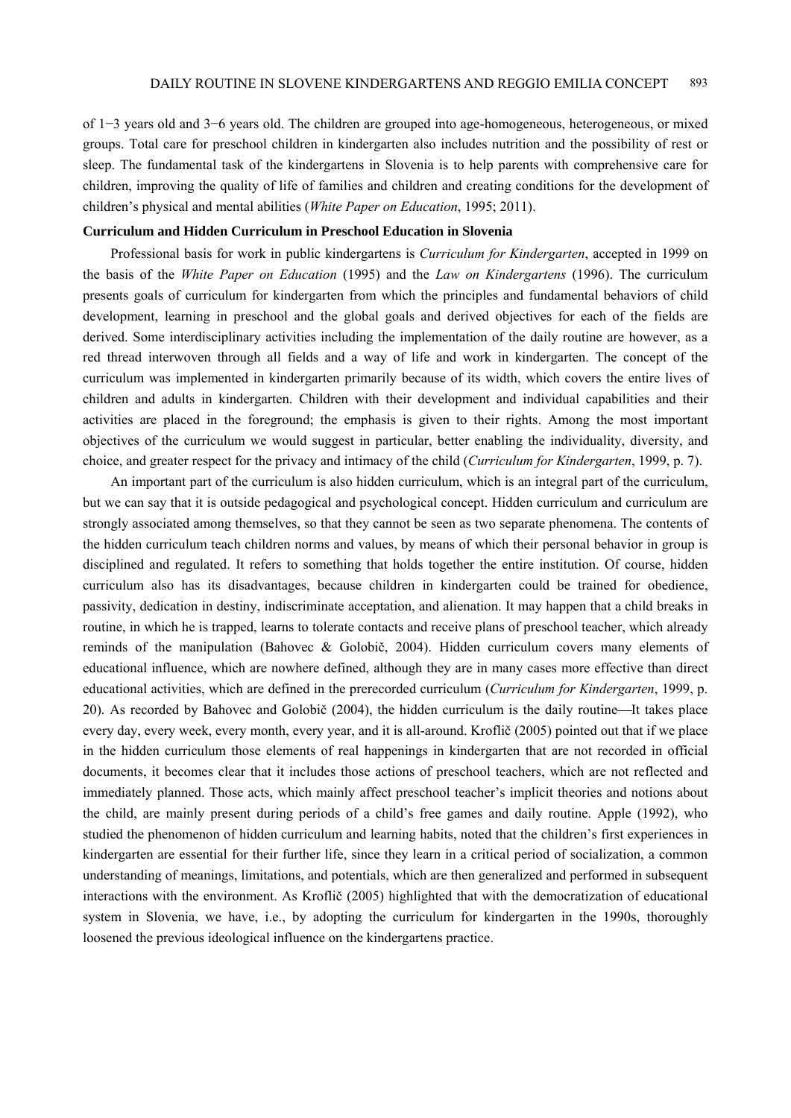of 1−3 years old and 3−6 years old. The children are grouped into age-homogeneous, heterogeneous, or mixed groups. Total care for preschool children in kindergarten also includes nutrition and the possibility of rest or sleep. The fundamental task of the kindergartens in Slovenia is to help parents with comprehensive care for children, improving the quality of life of families and children and creating conditions for the development of children's physical and mental abilities (*White Paper on Education*, 1995; 2011).

## **Curriculum and Hidden Curriculum in Preschool Education in Slovenia**

Professional basis for work in public kindergartens is *Curriculum for Kindergarten*, accepted in 1999 on the basis of the *White Paper on Education* (1995) and the *Law on Kindergartens* (1996). The curriculum presents goals of curriculum for kindergarten from which the principles and fundamental behaviors of child development, learning in preschool and the global goals and derived objectives for each of the fields are derived. Some interdisciplinary activities including the implementation of the daily routine are however, as a red thread interwoven through all fields and a way of life and work in kindergarten. The concept of the curriculum was implemented in kindergarten primarily because of its width, which covers the entire lives of children and adults in kindergarten. Children with their development and individual capabilities and their activities are placed in the foreground; the emphasis is given to their rights. Among the most important objectives of the curriculum we would suggest in particular, better enabling the individuality, diversity, and choice, and greater respect for the privacy and intimacy of the child (*Curriculum for Kindergarten*, 1999, p. 7).

An important part of the curriculum is also hidden curriculum, which is an integral part of the curriculum, but we can say that it is outside pedagogical and psychological concept. Hidden curriculum and curriculum are strongly associated among themselves, so that they cannot be seen as two separate phenomena. The contents of the hidden curriculum teach children norms and values, by means of which their personal behavior in group is disciplined and regulated. It refers to something that holds together the entire institution. Of course, hidden curriculum also has its disadvantages, because children in kindergarten could be trained for obedience, passivity, dedication in destiny, indiscriminate acceptation, and alienation. It may happen that a child breaks in routine, in which he is trapped, learns to tolerate contacts and receive plans of preschool teacher, which already reminds of the manipulation (Bahovec & Golobič, 2004). Hidden curriculum covers many elements of educational influence, which are nowhere defined, although they are in many cases more effective than direct educational activities, which are defined in the prerecorded curriculum (*Curriculum for Kindergarten*, 1999, p. 20). As recorded by Bahovec and Golobič  $(2004)$ , the hidden curriculum is the daily routine—It takes place every day, every week, every month, every year, and it is all-around. Kroflič (2005) pointed out that if we place in the hidden curriculum those elements of real happenings in kindergarten that are not recorded in official documents, it becomes clear that it includes those actions of preschool teachers, which are not reflected and immediately planned. Those acts, which mainly affect preschool teacher's implicit theories and notions about the child, are mainly present during periods of a child's free games and daily routine. Apple (1992), who studied the phenomenon of hidden curriculum and learning habits, noted that the children's first experiences in kindergarten are essential for their further life, since they learn in a critical period of socialization, a common understanding of meanings, limitations, and potentials, which are then generalized and performed in subsequent interactions with the environment. As Kroflič (2005) highlighted that with the democratization of educational system in Slovenia, we have, i.e., by adopting the curriculum for kindergarten in the 1990s, thoroughly loosened the previous ideological influence on the kindergartens practice.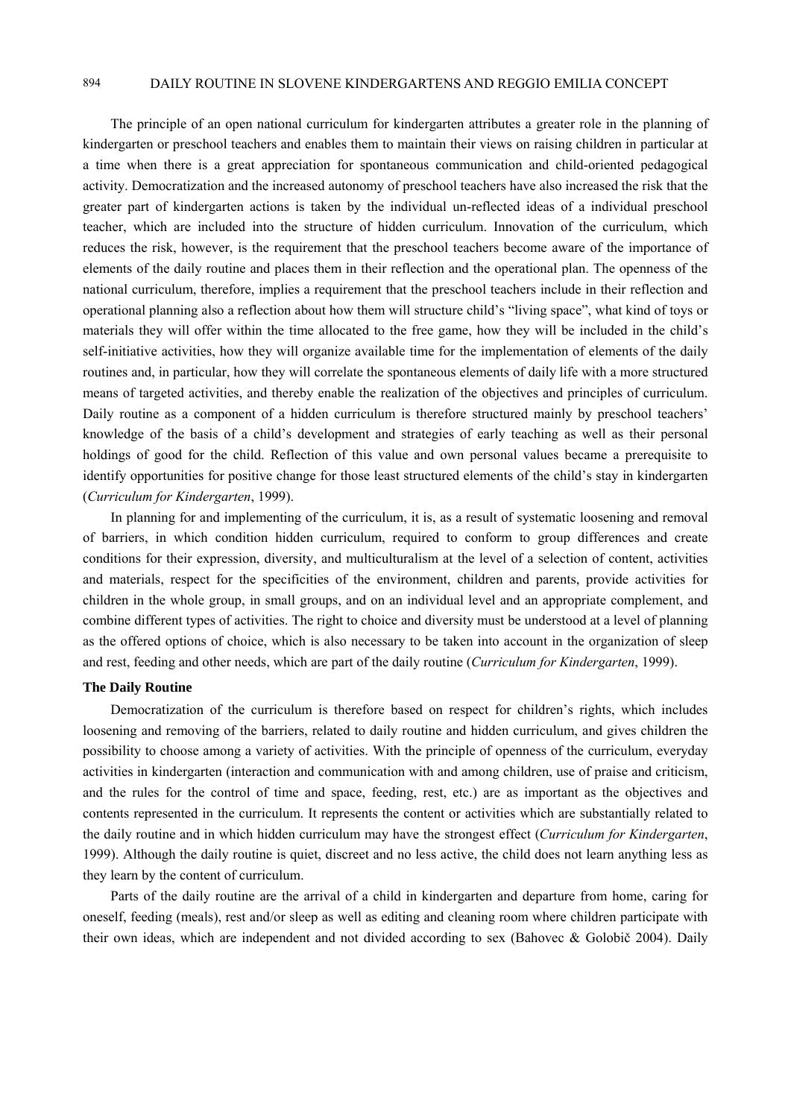The principle of an open national curriculum for kindergarten attributes a greater role in the planning of kindergarten or preschool teachers and enables them to maintain their views on raising children in particular at a time when there is a great appreciation for spontaneous communication and child-oriented pedagogical activity. Democratization and the increased autonomy of preschool teachers have also increased the risk that the greater part of kindergarten actions is taken by the individual un-reflected ideas of a individual preschool teacher, which are included into the structure of hidden curriculum. Innovation of the curriculum, which reduces the risk, however, is the requirement that the preschool teachers become aware of the importance of elements of the daily routine and places them in their reflection and the operational plan. The openness of the national curriculum, therefore, implies a requirement that the preschool teachers include in their reflection and operational planning also a reflection about how them will structure child's "living space", what kind of toys or materials they will offer within the time allocated to the free game, how they will be included in the child's self-initiative activities, how they will organize available time for the implementation of elements of the daily routines and, in particular, how they will correlate the spontaneous elements of daily life with a more structured means of targeted activities, and thereby enable the realization of the objectives and principles of curriculum. Daily routine as a component of a hidden curriculum is therefore structured mainly by preschool teachers' knowledge of the basis of a child's development and strategies of early teaching as well as their personal holdings of good for the child. Reflection of this value and own personal values became a prerequisite to identify opportunities for positive change for those least structured elements of the child's stay in kindergarten (*Curriculum for Kindergarten*, 1999).

In planning for and implementing of the curriculum, it is, as a result of systematic loosening and removal of barriers, in which condition hidden curriculum, required to conform to group differences and create conditions for their expression, diversity, and multiculturalism at the level of a selection of content, activities and materials, respect for the specificities of the environment, children and parents, provide activities for children in the whole group, in small groups, and on an individual level and an appropriate complement, and combine different types of activities. The right to choice and diversity must be understood at a level of planning as the offered options of choice, which is also necessary to be taken into account in the organization of sleep and rest, feeding and other needs, which are part of the daily routine (*Curriculum for Kindergarten*, 1999).

#### **The Daily Routine**

Democratization of the curriculum is therefore based on respect for children's rights, which includes loosening and removing of the barriers, related to daily routine and hidden curriculum, and gives children the possibility to choose among a variety of activities. With the principle of openness of the curriculum, everyday activities in kindergarten (interaction and communication with and among children, use of praise and criticism, and the rules for the control of time and space, feeding, rest, etc.) are as important as the objectives and contents represented in the curriculum. It represents the content or activities which are substantially related to the daily routine and in which hidden curriculum may have the strongest effect (*Curriculum for Kindergarten*, 1999). Although the daily routine is quiet, discreet and no less active, the child does not learn anything less as they learn by the content of curriculum.

Parts of the daily routine are the arrival of a child in kindergarten and departure from home, caring for oneself, feeding (meals), rest and/or sleep as well as editing and cleaning room where children participate with their own ideas, which are independent and not divided according to sex (Bahovec & Golobič 2004). Daily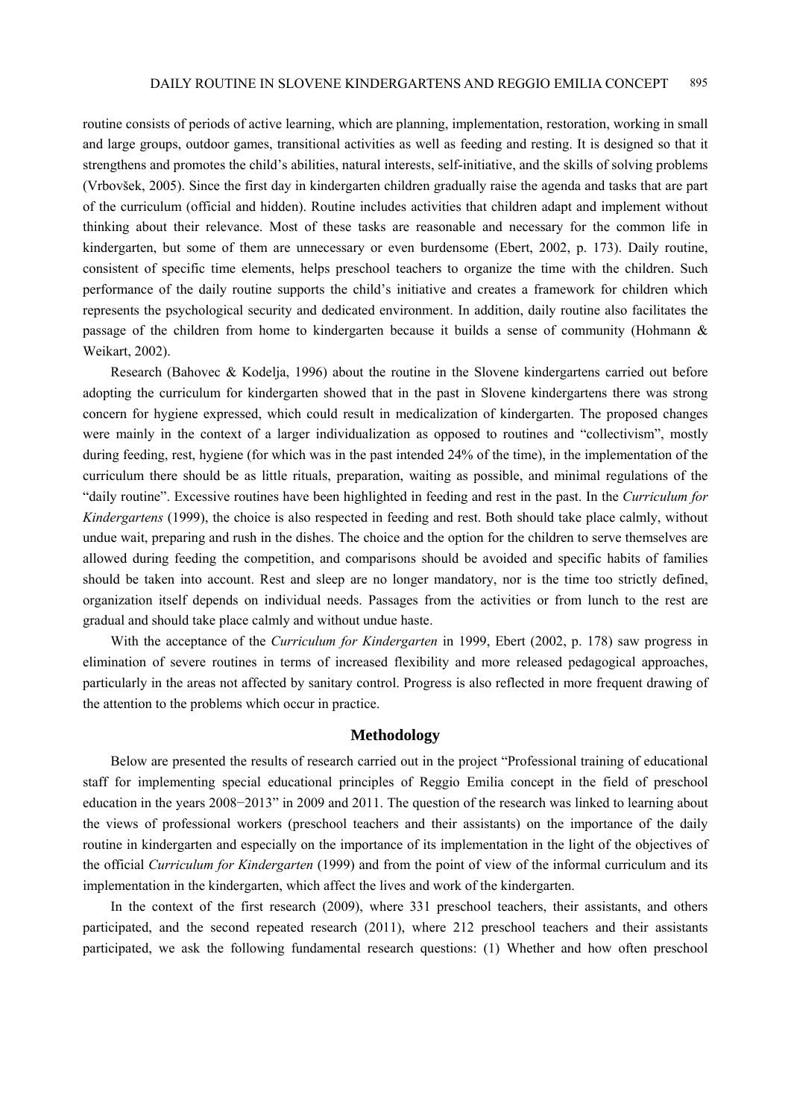routine consists of periods of active learning, which are planning, implementation, restoration, working in small and large groups, outdoor games, transitional activities as well as feeding and resting. It is designed so that it strengthens and promotes the child's abilities, natural interests, self-initiative, and the skills of solving problems (Vrbovšek, 2005). Since the first day in kindergarten children gradually raise the agenda and tasks that are part of the curriculum (official and hidden). Routine includes activities that children adapt and implement without thinking about their relevance. Most of these tasks are reasonable and necessary for the common life in kindergarten, but some of them are unnecessary or even burdensome (Ebert, 2002, p. 173). Daily routine, consistent of specific time elements, helps preschool teachers to organize the time with the children. Such performance of the daily routine supports the child's initiative and creates a framework for children which represents the psychological security and dedicated environment. In addition, daily routine also facilitates the passage of the children from home to kindergarten because it builds a sense of community (Hohmann & Weikart, 2002).

Research (Bahovec & Kodelja, 1996) about the routine in the Slovene kindergartens carried out before adopting the curriculum for kindergarten showed that in the past in Slovene kindergartens there was strong concern for hygiene expressed, which could result in medicalization of kindergarten. The proposed changes were mainly in the context of a larger individualization as opposed to routines and "collectivism", mostly during feeding, rest, hygiene (for which was in the past intended 24% of the time), in the implementation of the curriculum there should be as little rituals, preparation, waiting as possible, and minimal regulations of the "daily routine". Excessive routines have been highlighted in feeding and rest in the past. In the *Curriculum for Kindergartens* (1999), the choice is also respected in feeding and rest. Both should take place calmly, without undue wait, preparing and rush in the dishes. The choice and the option for the children to serve themselves are allowed during feeding the competition, and comparisons should be avoided and specific habits of families should be taken into account. Rest and sleep are no longer mandatory, nor is the time too strictly defined, organization itself depends on individual needs. Passages from the activities or from lunch to the rest are gradual and should take place calmly and without undue haste.

With the acceptance of the *Curriculum for Kindergarten* in 1999, Ebert (2002, p. 178) saw progress in elimination of severe routines in terms of increased flexibility and more released pedagogical approaches, particularly in the areas not affected by sanitary control. Progress is also reflected in more frequent drawing of the attention to the problems which occur in practice.

## **Methodology**

Below are presented the results of research carried out in the project "Professional training of educational staff for implementing special educational principles of Reggio Emilia concept in the field of preschool education in the years 2008−2013" in 2009 and 2011. The question of the research was linked to learning about the views of professional workers (preschool teachers and their assistants) on the importance of the daily routine in kindergarten and especially on the importance of its implementation in the light of the objectives of the official *Curriculum for Kindergarten* (1999) and from the point of view of the informal curriculum and its implementation in the kindergarten, which affect the lives and work of the kindergarten.

In the context of the first research (2009), where 331 preschool teachers, their assistants, and others participated, and the second repeated research (2011), where 212 preschool teachers and their assistants participated, we ask the following fundamental research questions: (1) Whether and how often preschool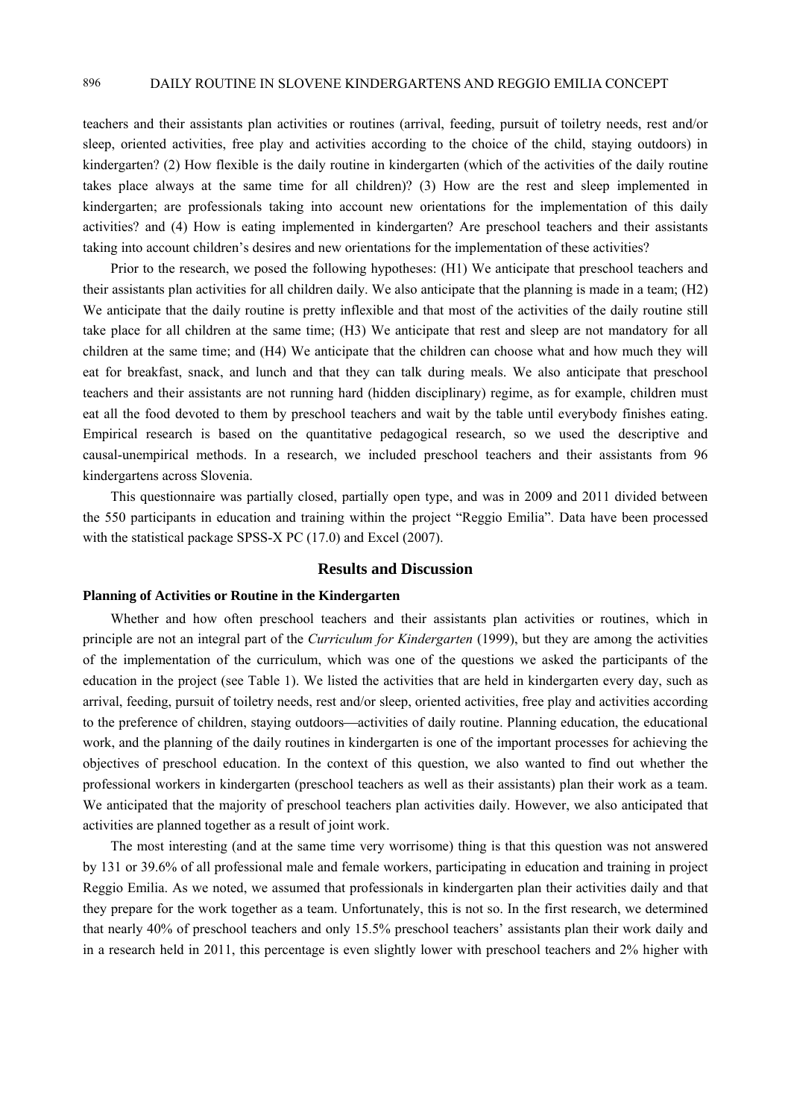teachers and their assistants plan activities or routines (arrival, feeding, pursuit of toiletry needs, rest and/or sleep, oriented activities, free play and activities according to the choice of the child, staying outdoors) in kindergarten? (2) How flexible is the daily routine in kindergarten (which of the activities of the daily routine takes place always at the same time for all children)? (3) How are the rest and sleep implemented in kindergarten; are professionals taking into account new orientations for the implementation of this daily activities? and (4) How is eating implemented in kindergarten? Are preschool teachers and their assistants taking into account children's desires and new orientations for the implementation of these activities?

Prior to the research, we posed the following hypotheses: (H1) We anticipate that preschool teachers and their assistants plan activities for all children daily. We also anticipate that the planning is made in a team; (H2) We anticipate that the daily routine is pretty inflexible and that most of the activities of the daily routine still take place for all children at the same time; (H3) We anticipate that rest and sleep are not mandatory for all children at the same time; and (H4) We anticipate that the children can choose what and how much they will eat for breakfast, snack, and lunch and that they can talk during meals. We also anticipate that preschool teachers and their assistants are not running hard (hidden disciplinary) regime, as for example, children must eat all the food devoted to them by preschool teachers and wait by the table until everybody finishes eating. Empirical research is based on the quantitative pedagogical research, so we used the descriptive and causal-unempirical methods. In a research, we included preschool teachers and their assistants from 96 kindergartens across Slovenia.

This questionnaire was partially closed, partially open type, and was in 2009 and 2011 divided between the 550 participants in education and training within the project "Reggio Emilia". Data have been processed with the statistical package SPSS-X PC (17.0) and Excel (2007).

## **Results and Discussion**

#### **Planning of Activities or Routine in the Kindergarten**

Whether and how often preschool teachers and their assistants plan activities or routines, which in principle are not an integral part of the *Curriculum for Kindergarten* (1999), but they are among the activities of the implementation of the curriculum, which was one of the questions we asked the participants of the education in the project (see Table 1). We listed the activities that are held in kindergarten every day, such as arrival, feeding, pursuit of toiletry needs, rest and/or sleep, oriented activities, free play and activities according to the preference of children, staying outdoors—activities of daily routine. Planning education, the educational work, and the planning of the daily routines in kindergarten is one of the important processes for achieving the objectives of preschool education. In the context of this question, we also wanted to find out whether the professional workers in kindergarten (preschool teachers as well as their assistants) plan their work as a team. We anticipated that the majority of preschool teachers plan activities daily. However, we also anticipated that activities are planned together as a result of joint work.

The most interesting (and at the same time very worrisome) thing is that this question was not answered by 131 or 39.6% of all professional male and female workers, participating in education and training in project Reggio Emilia. As we noted, we assumed that professionals in kindergarten plan their activities daily and that they prepare for the work together as a team. Unfortunately, this is not so. In the first research, we determined that nearly 40% of preschool teachers and only 15.5% preschool teachers' assistants plan their work daily and in a research held in 2011, this percentage is even slightly lower with preschool teachers and 2% higher with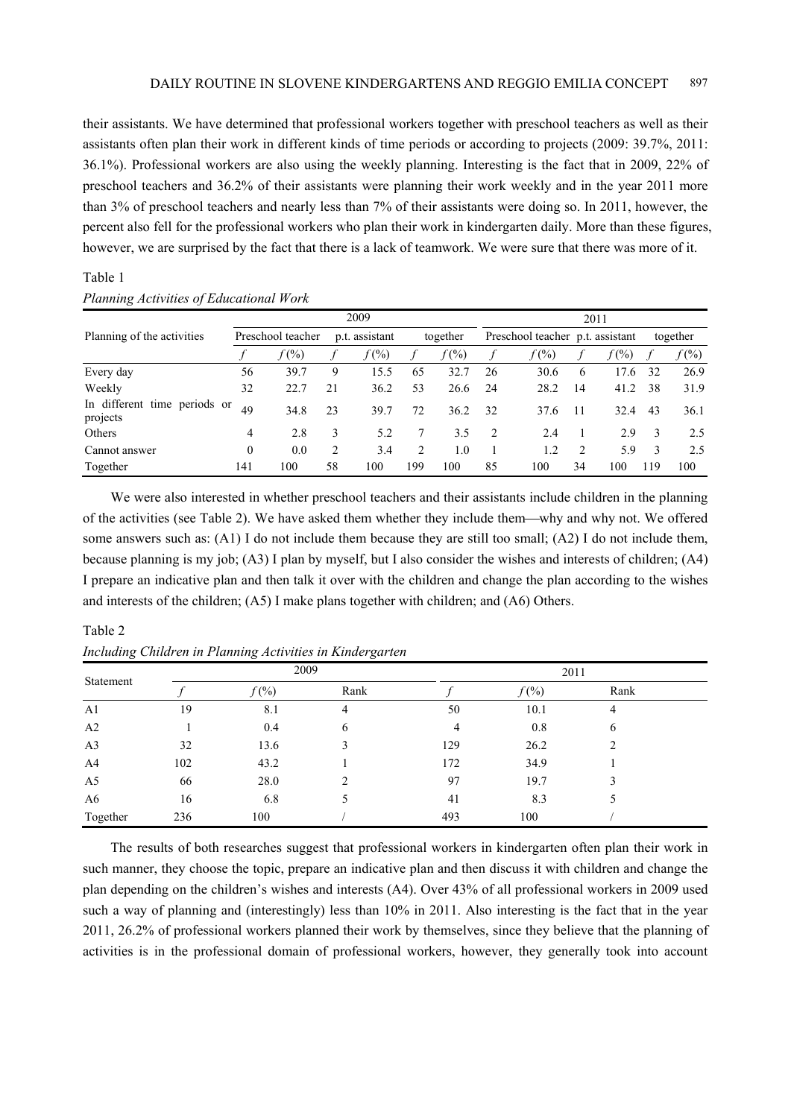their assistants. We have determined that professional workers together with preschool teachers as well as their assistants often plan their work in different kinds of time periods or according to projects (2009: 39.7%, 2011: 36.1%). Professional workers are also using the weekly planning. Interesting is the fact that in 2009, 22% of preschool teachers and 36.2% of their assistants were planning their work weekly and in the year 2011 more than 3% of preschool teachers and nearly less than 7% of their assistants were doing so. In 2011, however, the percent also fell for the professional workers who plan their work in kindergarten daily. More than these figures, however, we are surprised by the fact that there is a lack of teamwork. We were sure that there was more of it.

| Planning Activities of Educational Work |                   |                |                  |                                  |      |                     |          |
|-----------------------------------------|-------------------|----------------|------------------|----------------------------------|------|---------------------|----------|
|                                         |                   | 2009           |                  |                                  | 2011 |                     |          |
| Planning of the activities              | Preschool teacher | p.t. assistant | together         | Preschool teacher p.t. assistant |      |                     | together |
|                                         | $f(\%)$           | $f(\%)$        | $f \qquad f(\%)$ |                                  |      | $f(\%)$ f $f(\%)$ f | f (%)    |

We were also interested in whether preschool teachers and their assistants include children in the planning of the activities (see Table 2). We have asked them whether they include themwhy and why not. We offered some answers such as: (A1) I do not include them because they are still too small; (A2) I do not include them, because planning is my job; (A3) I plan by myself, but I also consider the wishes and interests of children; (A4) I prepare an indicative plan and then talk it over with the children and change the plan according to the wishes and interests of the children; (A5) I make plans together with children; and (A6) Others.

Every day 56 39.7 9 15.5 65 32.7 26 30.6 6 17.6 32 26.9 Weekly 32 22.7 21 36.2 53 26.6 24 28.2 14 41.2 38 31.9

m unicidii ilme periodis of 49 34.8 23 39.7 72 36.2 32 37.6 11 32.4 43 36.1 Others 3 4 2.8 3 5.2 7 3.5 2 2.4 1 2.9 3 2.5 Cannot answer 0 0.0 2 3.4 2 1.0 1 1.2 2 5.9 3 2.5 Together 141 100 58 100 199 100 85 100 34 100 119 100

## Table 2

Table 1

In different time periods or

*Including Children in Planning Activities in Kindergarten* 

| Statement      |     | 2009    |      | 2011           |         |      |  |  |  |
|----------------|-----|---------|------|----------------|---------|------|--|--|--|
|                |     | $f(\%)$ | Rank |                | $f(\%)$ | Rank |  |  |  |
| A <sub>1</sub> | 19  | 8.1     | 4    | 50             | 10.1    | 4    |  |  |  |
| A2             |     | 0.4     | 6    | $\overline{4}$ | 0.8     | 6    |  |  |  |
| A <sub>3</sub> | 32  | 13.6    | 3    | 129            | 26.2    |      |  |  |  |
| A4             | 102 | 43.2    |      | 172            | 34.9    |      |  |  |  |
| A <sub>5</sub> | 66  | 28.0    | ∍    | 97             | 19.7    | 3    |  |  |  |
| A6             | 16  | 6.8     |      | 41             | 8.3     |      |  |  |  |
| Together       | 236 | 100     |      | 493            | 100     |      |  |  |  |

The results of both researches suggest that professional workers in kindergarten often plan their work in such manner, they choose the topic, prepare an indicative plan and then discuss it with children and change the plan depending on the children's wishes and interests (A4). Over 43% of all professional workers in 2009 used such a way of planning and (interestingly) less than 10% in 2011. Also interesting is the fact that in the year 2011, 26.2% of professional workers planned their work by themselves, since they believe that the planning of activities is in the professional domain of professional workers, however, they generally took into account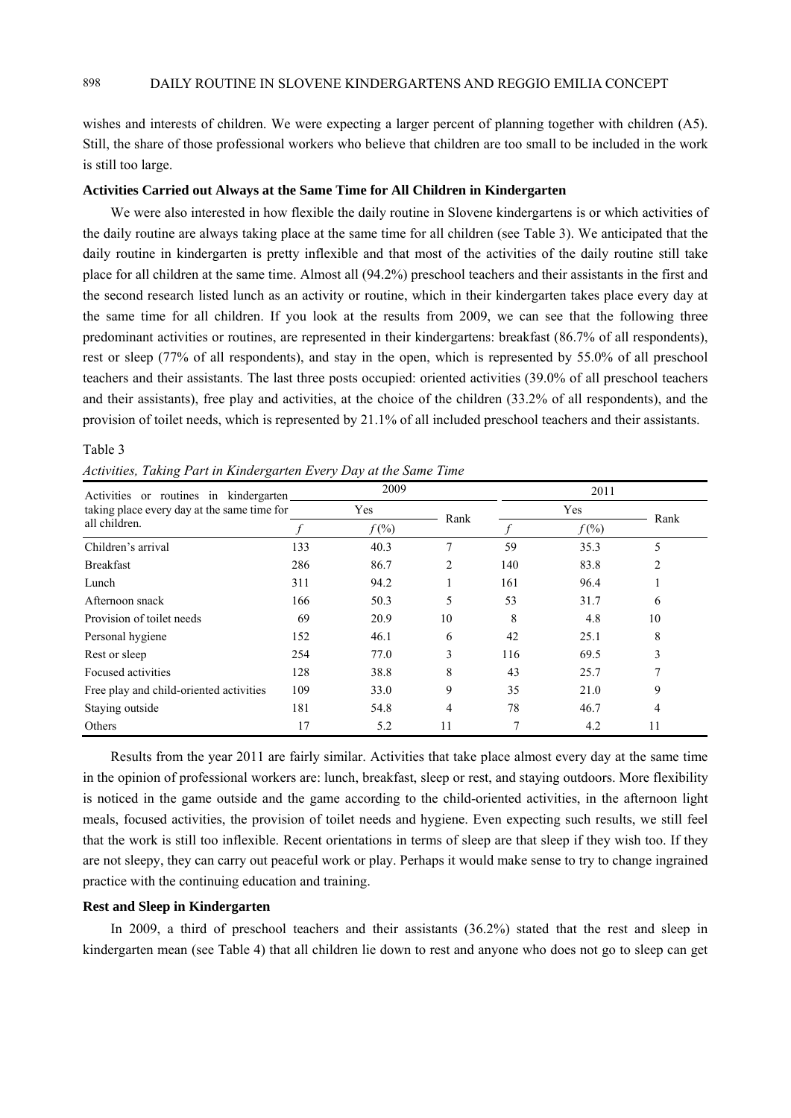wishes and interests of children. We were expecting a larger percent of planning together with children (A5). Still, the share of those professional workers who believe that children are too small to be included in the work is still too large.

### **Activities Carried out Always at the Same Time for All Children in Kindergarten**

We were also interested in how flexible the daily routine in Slovene kindergartens is or which activities of the daily routine are always taking place at the same time for all children (see Table 3). We anticipated that the daily routine in kindergarten is pretty inflexible and that most of the activities of the daily routine still take place for all children at the same time. Almost all (94.2%) preschool teachers and their assistants in the first and the second research listed lunch as an activity or routine, which in their kindergarten takes place every day at the same time for all children. If you look at the results from 2009, we can see that the following three predominant activities or routines, are represented in their kindergartens: breakfast (86.7% of all respondents), rest or sleep (77% of all respondents), and stay in the open, which is represented by 55.0% of all preschool teachers and their assistants. The last three posts occupied: oriented activities (39.0% of all preschool teachers and their assistants), free play and activities, at the choice of the children (33.2% of all respondents), and the provision of toilet needs, which is represented by 21.1% of all included preschool teachers and their assistants.

## Table 3

|  |  |  | Activities, Taking Part in Kindergarten Every Day at the Same Time |  |  |  |  |  |
|--|--|--|--------------------------------------------------------------------|--|--|--|--|--|
|--|--|--|--------------------------------------------------------------------|--|--|--|--|--|

| Activities or routines in kindergarten      |     | 2009    |      |     | 2011    |      |  |  |  |
|---------------------------------------------|-----|---------|------|-----|---------|------|--|--|--|
| taking place every day at the same time for |     | Yes     |      |     | Yes     |      |  |  |  |
| all children.                               |     | $f(\%)$ | Rank |     | $f(\%)$ | Rank |  |  |  |
| Children's arrival                          | 133 | 40.3    | 7    | 59  | 35.3    | 5    |  |  |  |
| <b>Breakfast</b>                            | 286 | 86.7    | 2    | 140 | 83.8    | 2    |  |  |  |
| Lunch                                       | 311 | 94.2    |      | 161 | 96.4    |      |  |  |  |
| Afternoon snack                             | 166 | 50.3    | 5    | 53  | 31.7    | 6    |  |  |  |
| Provision of toilet needs                   | 69  | 20.9    | 10   | 8   | 4.8     | 10   |  |  |  |
| Personal hygiene                            | 152 | 46.1    | 6    | 42  | 25.1    | 8    |  |  |  |
| Rest or sleep                               | 254 | 77.0    | 3    | 116 | 69.5    | 3    |  |  |  |
| Focused activities                          | 128 | 38.8    | 8    | 43  | 25.7    | 7    |  |  |  |
| Free play and child-oriented activities     | 109 | 33.0    | 9    | 35  | 21.0    | 9    |  |  |  |
| Staying outside                             | 181 | 54.8    | 4    | 78  | 46.7    | 4    |  |  |  |
| Others                                      | 17  | 5.2     | 11   | 7   | 4.2     | 11   |  |  |  |

Results from the year 2011 are fairly similar. Activities that take place almost every day at the same time in the opinion of professional workers are: lunch, breakfast, sleep or rest, and staying outdoors. More flexibility is noticed in the game outside and the game according to the child-oriented activities, in the afternoon light meals, focused activities, the provision of toilet needs and hygiene. Even expecting such results, we still feel that the work is still too inflexible. Recent orientations in terms of sleep are that sleep if they wish too. If they are not sleepy, they can carry out peaceful work or play. Perhaps it would make sense to try to change ingrained practice with the continuing education and training.

## **Rest and Sleep in Kindergarten**

In 2009, a third of preschool teachers and their assistants (36.2%) stated that the rest and sleep in kindergarten mean (see Table 4) that all children lie down to rest and anyone who does not go to sleep can get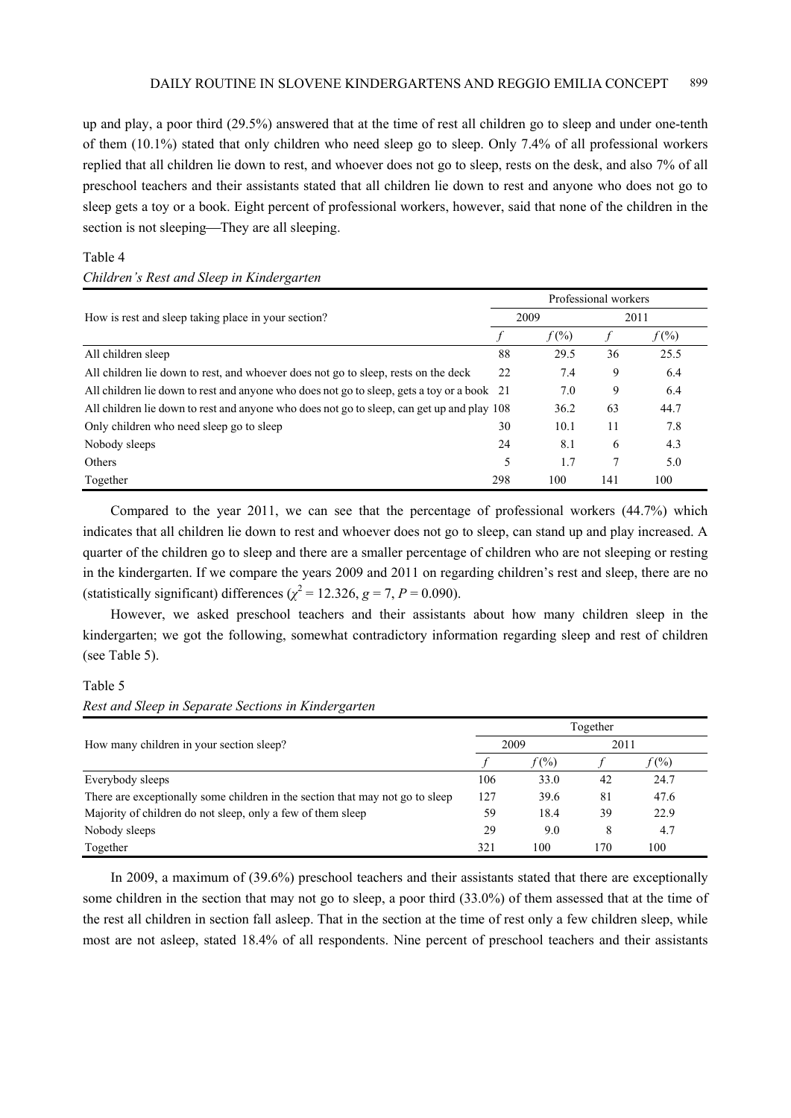up and play, a poor third (29.5%) answered that at the time of rest all children go to sleep and under one-tenth of them (10.1%) stated that only children who need sleep go to sleep. Only 7.4% of all professional workers replied that all children lie down to rest, and whoever does not go to sleep, rests on the desk, and also 7% of all preschool teachers and their assistants stated that all children lie down to rest and anyone who does not go to sleep gets a toy or a book. Eight percent of professional workers, however, said that none of the children in the section is not sleeping—They are all sleeping.

# Table 4

#### *Children's Rest and Sleep in Kindergarten*

| How is rest and sleep taking place in your section?                                        |     | 2009    | Professional workers<br>2011<br>36<br>9<br>9<br>63<br>11<br>6<br>7<br>141 |         |
|--------------------------------------------------------------------------------------------|-----|---------|---------------------------------------------------------------------------|---------|
|                                                                                            |     | $f(\%)$ |                                                                           | $f(\%)$ |
| All children sleep                                                                         | 88  | 29.5    |                                                                           | 25.5    |
| All children lie down to rest, and whoever does not go to sleep, rests on the deck         | 22  | 7.4     |                                                                           | 6.4     |
| All children lie down to rest and anyone who does not go to sleep, gets a toy or a book 21 |     | 7.0     |                                                                           | 6.4     |
| All children lie down to rest and anyone who does not go to sleep, can get up and play 108 |     | 36.2    |                                                                           | 44.7    |
| Only children who need sleep go to sleep                                                   | 30  | 10.1    |                                                                           | 7.8     |
| Nobody sleeps                                                                              | 24  | 8.1     |                                                                           | 4.3     |
| Others                                                                                     | 5   | 1.7     |                                                                           | 5.0     |
| Together                                                                                   | 298 | 100     |                                                                           | 100     |

Compared to the year 2011, we can see that the percentage of professional workers (44.7%) which indicates that all children lie down to rest and whoever does not go to sleep, can stand up and play increased. A quarter of the children go to sleep and there are a smaller percentage of children who are not sleeping or resting in the kindergarten. If we compare the years 2009 and 2011 on regarding children's rest and sleep, there are no (statistically significant) differences ( $\chi^2$  = 12.326, *g* = 7, *P* = 0.090).

However, we asked preschool teachers and their assistants about how many children sleep in the kindergarten; we got the following, somewhat contradictory information regarding sleep and rest of children (see Table 5).

#### Table 5

#### *Rest and Sleep in Separate Sections in Kindergarten*

|                                                                               |     |         | Together |         |
|-------------------------------------------------------------------------------|-----|---------|----------|---------|
| How many children in your section sleep?                                      |     | 2009    | 2011     |         |
|                                                                               |     | $f(\%)$ |          | $f(\%)$ |
| Everybody sleeps                                                              | 106 | 33.0    | 42       | 24.7    |
| There are exceptionally some children in the section that may not go to sleep | 127 | 39.6    | 81       | 47.6    |
| Majority of children do not sleep, only a few of them sleep                   | 59  | 18.4    | 39       | 22.9    |
| Nobody sleeps                                                                 | 29  | 9.0     | 8        | 4.7     |
| Together                                                                      | 321 | 100     | 170      | 100     |

In 2009, a maximum of (39.6%) preschool teachers and their assistants stated that there are exceptionally some children in the section that may not go to sleep, a poor third (33.0%) of them assessed that at the time of the rest all children in section fall asleep. That in the section at the time of rest only a few children sleep, while most are not asleep, stated 18.4% of all respondents. Nine percent of preschool teachers and their assistants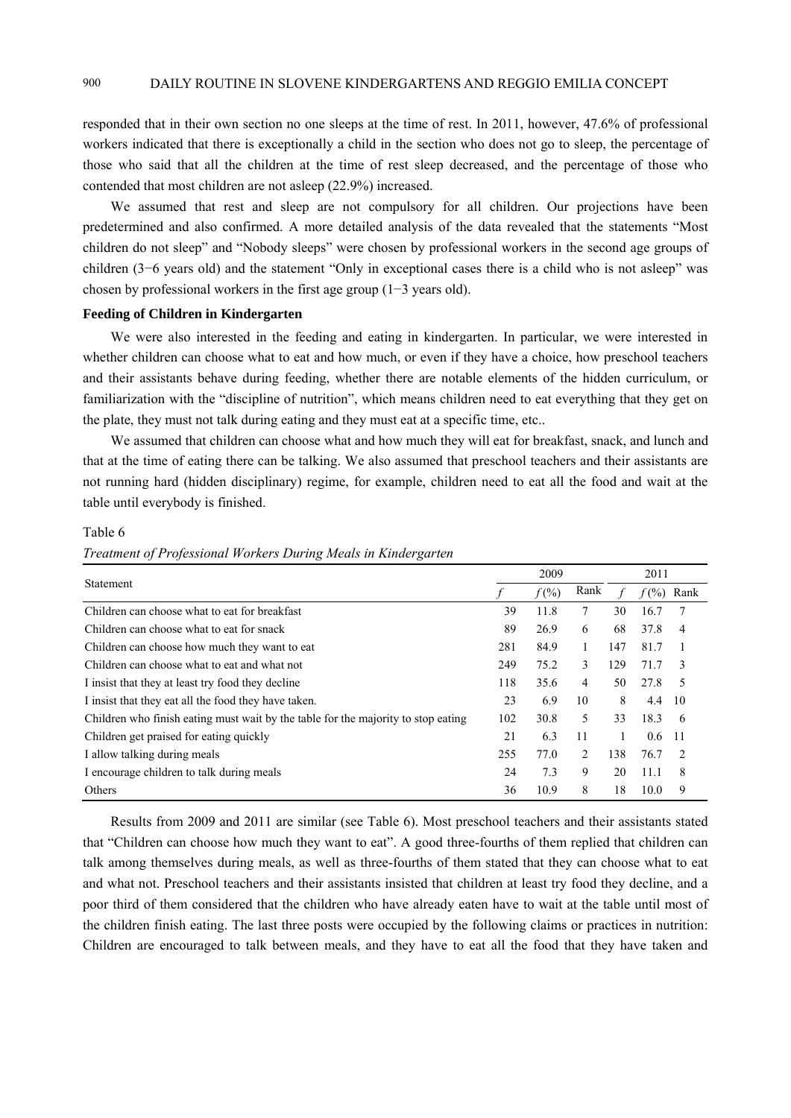responded that in their own section no one sleeps at the time of rest. In 2011, however, 47.6% of professional workers indicated that there is exceptionally a child in the section who does not go to sleep, the percentage of those who said that all the children at the time of rest sleep decreased, and the percentage of those who contended that most children are not asleep (22.9%) increased.

We assumed that rest and sleep are not compulsory for all children. Our projections have been predetermined and also confirmed. A more detailed analysis of the data revealed that the statements "Most children do not sleep" and "Nobody sleeps" were chosen by professional workers in the second age groups of children (3−6 years old) and the statement "Only in exceptional cases there is a child who is not asleep" was chosen by professional workers in the first age group (1−3 years old).

## **Feeding of Children in Kindergarten**

We were also interested in the feeding and eating in kindergarten. In particular, we were interested in whether children can choose what to eat and how much, or even if they have a choice, how preschool teachers and their assistants behave during feeding, whether there are notable elements of the hidden curriculum, or familiarization with the "discipline of nutrition", which means children need to eat everything that they get on the plate, they must not talk during eating and they must eat at a specific time, etc..

We assumed that children can choose what and how much they will eat for breakfast, snack, and lunch and that at the time of eating there can be talking. We also assumed that preschool teachers and their assistants are not running hard (hidden disciplinary) regime, for example, children need to eat all the food and wait at the table until everybody is finished.

#### Table 6

| Treatment of Professional Workers During Meals in Kindergarten |  |  |  |
|----------------------------------------------------------------|--|--|--|
|                                                                |  |  |  |

| Statement                                                                         |     | 2009     |      |     | 2011     |               |
|-----------------------------------------------------------------------------------|-----|----------|------|-----|----------|---------------|
|                                                                                   |     | $f(\% )$ | Rank |     | $f(\% )$ | Rank          |
| Children can choose what to eat for breakfast                                     | 39  | 11.8     | 7    | 30  | 16.7     | 7             |
| Children can choose what to eat for snack                                         | 89  | 26.9     | 6    | 68  | 37.8     | 4             |
| Children can choose how much they want to eat                                     | 281 | 84.9     | 1    | 147 | 81.7     |               |
| Children can choose what to eat and what not                                      | 249 | 75.2     | 3    | 129 | 71.7     | $\mathbf{3}$  |
| I insist that they at least try food they decline                                 | 118 | 35.6     | 4    | 50  | 27.8     | -5            |
| I insist that they eat all the food they have taken.                              | 23  | 6.9      | 10   | 8   | 4.4      | 10            |
| Children who finish eating must wait by the table for the majority to stop eating | 102 | 30.8     | 5    | 33  | 18.3     | -6            |
| Children get praised for eating quickly                                           | 21  | 6.3      | 11   | 1   | 0.6      | -11           |
| I allow talking during meals                                                      | 255 | 77.0     | 2    | 138 | 76.7     | $\mathcal{D}$ |
| I encourage children to talk during meals                                         | 24  | 7.3      | 9    | 20  | 11.1     | 8             |
| Others                                                                            | 36  | 10.9     | 8    | 18  | 10.0     | 9             |

Results from 2009 and 2011 are similar (see Table 6). Most preschool teachers and their assistants stated that "Children can choose how much they want to eat". A good three-fourths of them replied that children can talk among themselves during meals, as well as three-fourths of them stated that they can choose what to eat and what not. Preschool teachers and their assistants insisted that children at least try food they decline, and a poor third of them considered that the children who have already eaten have to wait at the table until most of the children finish eating. The last three posts were occupied by the following claims or practices in nutrition: Children are encouraged to talk between meals, and they have to eat all the food that they have taken and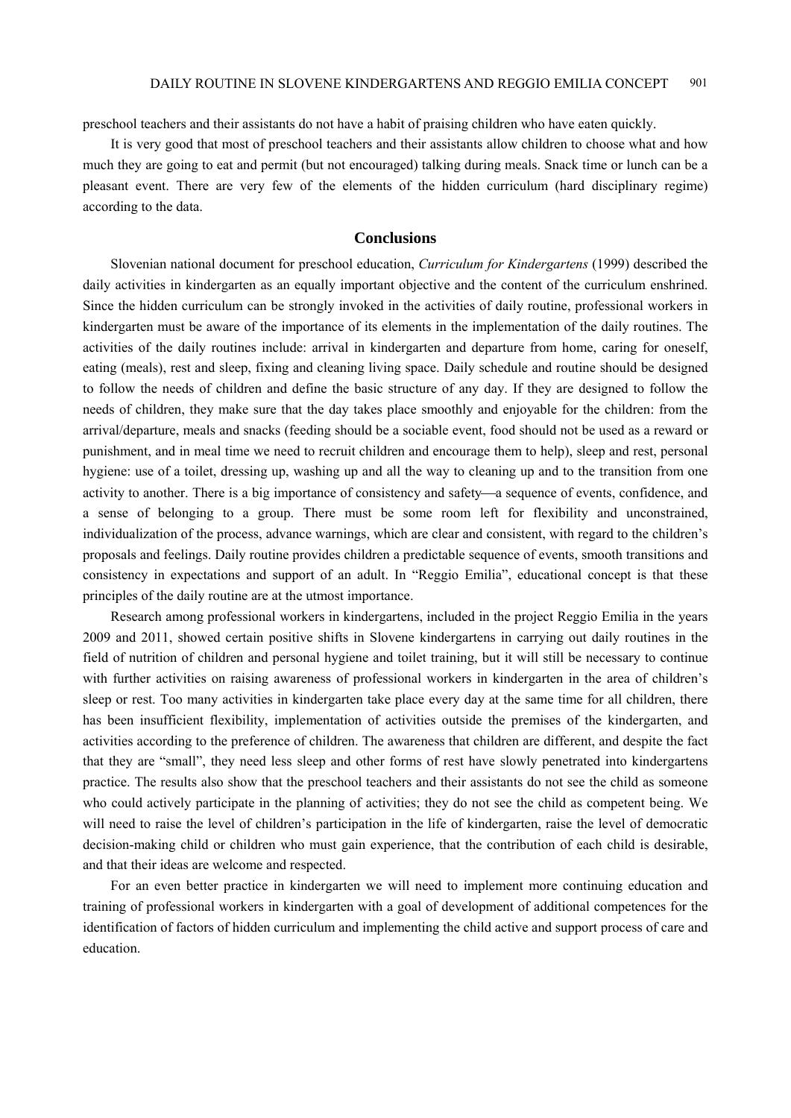preschool teachers and their assistants do not have a habit of praising children who have eaten quickly.

It is very good that most of preschool teachers and their assistants allow children to choose what and how much they are going to eat and permit (but not encouraged) talking during meals. Snack time or lunch can be a pleasant event. There are very few of the elements of the hidden curriculum (hard disciplinary regime) according to the data.

## **Conclusions**

Slovenian national document for preschool education, *Curriculum for Kindergartens* (1999) described the daily activities in kindergarten as an equally important objective and the content of the curriculum enshrined. Since the hidden curriculum can be strongly invoked in the activities of daily routine, professional workers in kindergarten must be aware of the importance of its elements in the implementation of the daily routines. The activities of the daily routines include: arrival in kindergarten and departure from home, caring for oneself, eating (meals), rest and sleep, fixing and cleaning living space. Daily schedule and routine should be designed to follow the needs of children and define the basic structure of any day. If they are designed to follow the needs of children, they make sure that the day takes place smoothly and enjoyable for the children: from the arrival/departure, meals and snacks (feeding should be a sociable event, food should not be used as a reward or punishment, and in meal time we need to recruit children and encourage them to help), sleep and rest, personal hygiene: use of a toilet, dressing up, washing up and all the way to cleaning up and to the transition from one activity to another. There is a big importance of consistency and safety—a sequence of events, confidence, and a sense of belonging to a group. There must be some room left for flexibility and unconstrained, individualization of the process, advance warnings, which are clear and consistent, with regard to the children's proposals and feelings. Daily routine provides children a predictable sequence of events, smooth transitions and consistency in expectations and support of an adult. In "Reggio Emilia", educational concept is that these principles of the daily routine are at the utmost importance.

Research among professional workers in kindergartens, included in the project Reggio Emilia in the years 2009 and 2011, showed certain positive shifts in Slovene kindergartens in carrying out daily routines in the field of nutrition of children and personal hygiene and toilet training, but it will still be necessary to continue with further activities on raising awareness of professional workers in kindergarten in the area of children's sleep or rest. Too many activities in kindergarten take place every day at the same time for all children, there has been insufficient flexibility, implementation of activities outside the premises of the kindergarten, and activities according to the preference of children. The awareness that children are different, and despite the fact that they are "small", they need less sleep and other forms of rest have slowly penetrated into kindergartens practice. The results also show that the preschool teachers and their assistants do not see the child as someone who could actively participate in the planning of activities; they do not see the child as competent being. We will need to raise the level of children's participation in the life of kindergarten, raise the level of democratic decision-making child or children who must gain experience, that the contribution of each child is desirable, and that their ideas are welcome and respected.

For an even better practice in kindergarten we will need to implement more continuing education and training of professional workers in kindergarten with a goal of development of additional competences for the identification of factors of hidden curriculum and implementing the child active and support process of care and education.